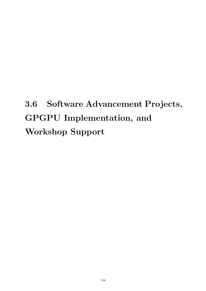# 3.6 Software Advancement Projects, GPGPU Implementation, and Workshop Support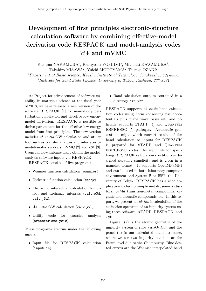# **Development of first principles electronic-structure calculation software by combining effective-model derivation code** RESPACK **and model-analysis codes** *H*Φ **and mVMC**

Kazuma NAKAMURA<sup>1</sup>, Kazuyoshi YOSHIMI<sup>2</sup>, Mitsuaki KAWAMURA<sup>2</sup>, Takahiro MISAWA<sup>2</sup>, Yuichi MOTOYAMA<sup>2</sup> Taisuke OZAKI<sup>2</sup>

<sup>1</sup>*Department of Basic science, Kyushu Institute of Technology, Kitakyushu, 804-8550*, 2 *Institute for Solid State Physics, University of Tokyo, Kashiwa, 277-8581*

As Project for advancement of software usability in materials science at the fiscal year of 2018, we have released a new version of the software RESPACK [1] for many-body perturbation calculation and effective low-energy model derivation. RESPACK is possible to derive parameters for the effective low-energy model from first principles. The new version includes *ab initio* GW calculation and utility tool such as transfer analysis and interfaces to model-analysis solvers mVMC [2] and *H*Φ [3]. Users can now automatically obtain the modelanalysis-software inputs via RESPACK.

RESPACK consists of five programs:

- *•* Wannier function calculation (wannier)
- Dielectric function calculation (chiqw)
- *•* Electronic interaction calculation for direct and exchange integrals (calc w3d,  $calc_j3d),$
- *Ab initio* GW calculation (calc\_gw),
- Utility code for transfer analysis (transfer analysis)

These programs are run under the following inputs:

*•* Input file for RESPACK calculation (input.in)

*•* Band-calculation outputs contained in a directory dir-wfn

RESPACK supports *ab initio* band calculation codes using norm conserving pseudopotentials plus plane wave basis set, and officially supports XTAPP [4] and QUANTUM ESPRESSO [5] packages. Automatic generation scripts which convert results of the band calculation to inputs for RESPACK is prepared for xTAPP and Quantum ESPRESSO codes. An input file for specifying RESPACK calculation conditions is designed pursuing simplicity and is given in a namelist format. It supports OpenMP/MPI and can be used in both laboratory-computer environment and System B at ISSP, the University of Tokyo. RESPACK has a wide application including simple metals, semiconductors, 3*d*/4*d* transition-metal compounds, organic and aromatic compounds, etc. In this report, we present an *ab initio* calculation of the excitation spectrum of an impurity system using three software: xTAPP, RESPACK, and *H*Φ.

Figure  $1(a)$  is the atomic geometry of the impurity system of ruby  $(Al_2O_3:C_r)$ , and the panel (b) is our calculated band structure, where we see two impurity bands near the Fermi level due to the Cr impurity. Blue dotted curves are the Wannier interpolated band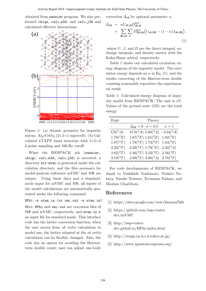obtained from wannier program. We also performed chiqw, calc w3d, and calc j3d and calculated effective interactions.



Figure 1: (a) Atomic geometry for impurity sistem:  $\text{Al}_{47}\text{CrO}_{72}$  ( $2\times2\times1$  supercell). (b) Calculated xTAPP band structure with 5*×*5*×*<sup>5</sup> *k*-point sampling and 100-Ry cutoff.

When the RESPACK job (wannier, chiqw, calc w3d, calc j3d) is executed, a directory dir-mvmc is generated under the calculation directory, and the files necessary for model-analysis softwares mVMC and *H*Φ are output. Using these data and a standardmode input for mVMC and *H*Φ, all inputs of the model calculations are automatically generated under the following command:

```
HPhi -s stan.in (or vmc.out -s stan.in)
```
Here, HPhi and vmc.out are execution files of *H*Φ and mVMC, respectively, and stan.in is an input file for standard mode. This interface code has the lattice conversion function; when the user moves from *ab initio* calculation to model one, the lattice adopted at the *ab initio* calculation can be flexibly changed. Also, the code has an option for avoiding the Hartreeterm double count; user can adjust one-body

correction  $\Delta_{i0}$  by optional parameter  $\alpha$ ,

$$
\Delta_{i0} = \alpha U_{i0,i0} D_{i0,i0}^{\text{KS}} \n+ \sum_{\mathbf{R} \neq \mathbf{0}} \sum_{k} D_{k0,k0}^{\text{KS}} \Big( U_{i0,k\mathbf{R}} - (1-\alpha) J_{i0,k\mathbf{R}} \Big),
$$
\n(1)

where *U*, *J*, and *D* are the direct integral, exchange integrals, and density matrix with the Kohn-Sham orbital, respectively.

Table 1 shows our calculated excitation energy diagram of the impurity model. The excitation energy depends on  $\alpha$  in Eq. (1), and the results correcting of the Hartree-term double counting reasonably reproduce the experimental result.

Table 1: Calculated energy diagram of impurity model from RESPACK. The unit is eV. Values of the ground state (GS) are the total energy.

| Expt          | Theory                                             |
|---------------|----------------------------------------------------|
|               | $\Delta_{i0} = 0 \quad \alpha = 0.5$<br>$\alpha=1$ |
| $GS(^4A)$     | $47.9(^4A)$ 5.60 $(^4A)$ -3.04 $(^4A)$             |
| $1.79(^{2}E)$ | $1.67(^{2}E) 1.61(^{2}E)$<br>$1.62(^{2}E)$         |
| $1.87(^{2}T)$ | $1.78(^{2}T)$ $1.73(^{2}T)$<br>$1.84(^{2}T)$       |
| $2.23(^{4}T)$ | $2.29(^{4}T)$ 1.79( $^{4}E$ )<br>$2.32(^{2}A)$     |
| $2.62(^{2}T)$ | $2.46(^{4}T)$ $2.23(^{4}T)$<br>$2.56(^{4}T)$       |
| $3.10(^{4}T)$ | $2.69(^{2}T)$ $2.60(^{4}A)$<br>$2.78(^{4}T)$       |

For code developments of RESPACK, we thank to Yoshihide Yoshimoto, Yoshiro Nohara, Yusuke Nomura, Terumasa Tadano, and Maxime Charlebois.

### **References**

- [1] https://sites.google.com/view/kazuma7k6r
- [2] https://github.com/issp-centerdev/mVMC
- [3] http://issp-centerdev.github.io/HPhi/index.html
- [4] http://xtapp.cp.is.s.u-tokyo.ac.jp/
- [5] http://www.quantum-espresso.org/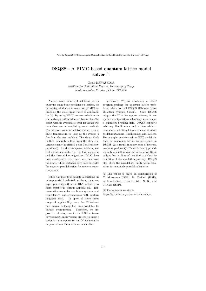## **DSQSS - A PIMC-based quantum lattice model solver** [1]

#### Naoki KAWASHIMA

*Institute for Solid State Physics, University of Tokyo Kashiwa-no-ha, Kashiwa, Chiba 277-8581*

Among many numerical solutions to the quantum many-body problems on lattices, the path-integral Monte Carlo method (PIMC) has probably the most broad range of applicability [1]. By using PIMC, we can calculate the thermal expectation values of observables of interest with no systematic error for larger systems than can be handled by exact methods. The method works in arbitrary dimension at finite temperature as long as the system is free from the sign problem. The Monte Carlo method generally suffers from the slow convergence near the critical point ('critical slowing down'). For discrete space problems, several update methods, e.g., the loop algorithm and the directed-loop algorithm (DLA), have been developed to overcome the critical slowing down. These methods have been extended for massive parallelization for modern supercomputers.

While the loop-type update algorithms are quite powerful in selected problems, the wormtype update algorithm, the DLA included, are more frexible in various applications. Representative examples are boson systems and, equivalently, antiferromagnets with uniform magnetic field. In spite of these broad range of applicability, very few DLA-based open-source software has been available for parallel computation. Therefore, we proposed to develop one in the ISSP softwaredevelopment/improvement project, to make it easier for non-experts to run DLA simulation on pararell machines without much effort.

Specifically, We are developing a PIMC program package for quantum lattice problems, which we call DSQSS (Discrete Space Quantum Systems Solver). Since DSQSS adopts the DLA for update scheme, it can update configurations effectively even under a symmetry-breaking field, DSQSS supports arbitrary Hamiltonians and lattices while it comes with additional tools to make it easier to define standard Hamiltonians and lattices. For example, models such as XXZ model defined on hypercubic lattice are pre-defined in DSQSS. As a result, in many cases of interest, users can perform QMC calculation by providing only a small amount of information (typically a few ten lines of text file) to define the condition of the simulation precisely. DSQSS also offers the parallelized multi worm algorithm for massively parallel calculation.

[1] This report is based on collaboration of Y. Motoyama (ISSP), K. Yoshimi (ISSP), A. Masaki-Kato (Hitachi Ltd.), N. K., and T. Kato (ISSP).

[2] The software website is

https://github.com/issp-center-dev/dsqss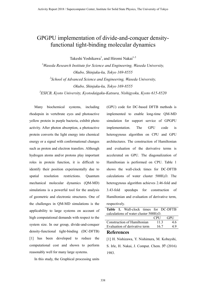## GPGPU implementation of divide-and-conquer densityfunctional tight-binding molecular dynamics

Takeshi Yoshikawa<sup>1</sup>, and Hiromi Nakai<sup>1-3</sup>

<sup>1</sup>Waseda Research Institute for Science and Engineering, Waseda University, Okubo, Shinjuku-ku, Tokyo 169-8555  $2$ School of Advanced Science and Engineering, Waseda University, Okubo, Shinjuku-ku, Tokyo 169-8555  $3$ ESICB, Kyoto University, Kyotodaigaku-Katsura, Nishigyoku, Kyoto 615-8520

Many biochemical systems, including rhodopsin in vertebrate eyes and photoactive yellow protein in purple bacteria, exhibit photo activity. After photon absorption, a photoactive protein converts the light energy into chemical energy or a signal with conformational changes such as proton and electron transfers. Although hydrogen atoms and/or protons play important roles in protein function, it is difficult to identify their position experimentally due to spatial resolution restrictions. Quantum mechanical molecular dynamics (QM-MD) simulations is a powerful tool for the analysis of geometric and electronic structures. One of the challenges in QM-MD simulations is the applicability to large systems on account of high computational demands with respect to the system size. In our group, divide-and-conquer density-functional tight-binding (DC-DFTB) [1] has been developed to reduce the computational cost and shown to perform reasonably well for many large systems.

In this study, the Graphical processing units

(GPU) code for DC-based DFTB methods is implemented to enable long-time QM-MD simulation for support service of GPGPU implementation. The GPU code is heterogynous algorithm on CPU and GPU architectures. The construction of Hamiltonian and evaluation of the derivative terms is accelerated on GPU. The diagonalization of Hamiltonian is performed on CPU. Table 1 shows the wall-clock times for DC-DFTB calculations of water cluster  $500H<sub>2</sub>O$ . The heterogynous algorithm achieves 2.46-fold and 3.43-fold speedups for construction of Hamiltonian and evaluation of derivative term, respectively.

|                                          |  | <b>Table 1.</b> Wall-clock times for DC-DFTB |  |            |      |     |
|------------------------------------------|--|----------------------------------------------|--|------------|------|-----|
| calculations of water cluster $500H2O$ . |  |                                              |  |            |      |     |
|                                          |  |                                              |  | <b>CPU</b> |      | GPU |
| Construction of Hamiltonian              |  |                                              |  |            | 11.3 | 46  |
| Evaluation of derivative term            |  |                                              |  | 16.7       | 49   |     |

#### References

[1] H. Nishizawa, Y. Nishimura, M. Kobayshi, S. Irle, H. Nakai, J. Comput. Chem. 37 (2016) 1983.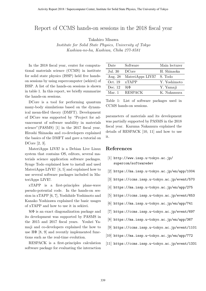## Report of CCMS hands-on sessions in the 2018 fiscal year

Takahiro Misawa

*Institute for Solid State Physics, University of Tokyo Kashiwa-no-ha, Kashiwa, Chiba 277-8581*

In the 2018 fiscal year, center for computational materials science (CCMS) in institute for solid state physics (ISSP) held five handson sessions by using supercomputer (sekirei) of ISSP. A list of the hands-on sessions is shown in table 1. In this report, we briefly summarize the hands-on sessions.

DCore is a tool for performing quantum many-body simulations based on the dynamical mean-filed theory (DMFT). Development of DCore was supported by "Project for advancement of software usability in materials science" (PASMS) [1] in the 2017 fiscal year. Hiroshi Shinaoka and co-developers explained the basics of the DMFT and gave a tutorial on DCore [2, 3].

MateriApps LIVE! is a Debian Live Linux system that contains OS, editors, several materials science application software packages. Synge Todo explained how to install and used MateriApps LIVE! [4, 5] and explained how to use several software packages included in MateriApps LIVE!.

xTAPP is a first-principles plane-wave pseudo-potential code. In the hands-on session in xTAPP [6, 7], Yoshihide Yoshimoto and Kanako Yoshizawa explained the basic usages of xTAPP and how to use it in sekirei.

*H*Φ is an exact diagonalization package and its development was supported by PASMS in the 2015 and 2017 fiscal years. Youhei Yamaji and co-developers explained the how to use  $H\Phi$  [8, 9] and recently implemented functions such as the real-time evolution.

RESPACK is a first-principles calculation software package for evaluating the interaction

| Date    | Software          | Main lecturer |
|---------|-------------------|---------------|
| Jul. 30 | <b>DC</b> ore     | H. Shinaoka   |
| Aug. 28 | MateriApps LIVE!  | S. Todo       |
| Oct. 19 | x <b>TAPP</b>     | Y. Yoshimoto  |
| Dec. 12 | $\mathcal{H}\Phi$ | Y. Yamaji     |
| Mar. 1  | <b>RESPACK</b>    | K. Nakamura   |
|         |                   |               |

Table 1: List of software packages used in CCMS hands-on sessions.

parameters of materials and its development was partially supported by PASMS in the 2018 fiscal year. Kazuma Nakamura explained the details of RESPACK [10, 11] and how to use it.

#### **References**

- [1] http://www.issp.u-tokyo.ac.jp/ supercom/softwaredev
- [2] https://ma.issp.u-tokyo.ac.jp/en/app/1004
- [3] https://ccms.issp.u-tokyo.ac.jp/event/570
- [4] https://ma.issp.u-tokyo.ac.jp/en/app/275
- [5] https://ccms.issp.u-tokyo.ac.jp/event/653
- [6] https://ma.issp.u-tokyo.ac.jp/en/app/741
- [7] https://ccms.issp.u-tokyo.ac.jp/event/697
- [8] https://ma.issp.u-tokyo.ac.jp/en/app/367
- [9] https://ccms.issp.u-tokyo.ac.jp/event/1101
- [10] https://ma.issp.u-tokyo.ac.jp/en/app/772
- [11] https://ccms.issp.u-tokyo.ac.jp/event/1331